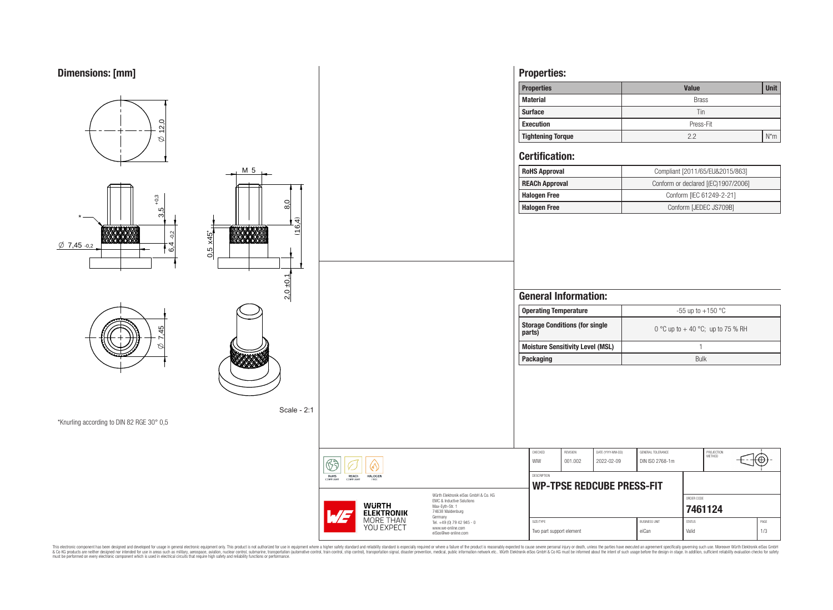

This electronic component has been designed and developed for usage in general electronic equipment only. This product is not authorized for subserved requipment where a higher selection equipment where a higher selection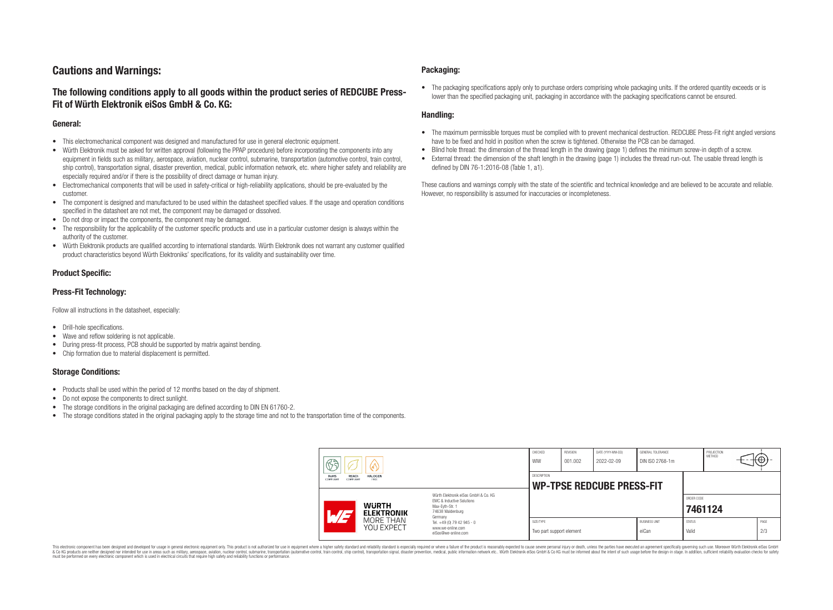# **Cautions and Warnings:**

# **The following conditions apply to all goods within the product series of REDCUBE Press-Fit of Würth Elektronik eiSos GmbH & Co. KG:**

### **General:**

- This electromechanical component was designed and manufactured for use in general electronic equipment.
- Würth Elektronik must be asked for written approval (following the PPAP procedure) before incorporating the components into any equipment in fields such as military, aerospace, aviation, nuclear control, submarine, transportation (automotive control, train control, ship control), transportation signal, disaster prevention, medical, public information network, etc. where higher safety and reliability are especially required and/or if there is the possibility of direct damage or human injury.
- Electromechanical components that will be used in safety-critical or high-reliability applications, should be pre-evaluated by the customer.
- The component is designed and manufactured to be used within the datasheet specified values. If the usage and operation conditions specified in the datasheet are not met, the component may be damaged or dissolved.
- Do not drop or impact the components, the component may be damaged.
- The responsibility for the applicability of the customer specific products and use in a particular customer design is always within the authority of the customer.
- Würth Elektronik products are qualified according to international standards. Würth Elektronik does not warrant any customer qualified product characteristics beyond Würth Elektroniks' specifications, for its validity and sustainability over time.

### **Product Specific:**

### **Press-Fit Technology:**

Follow all instructions in the datasheet, especially:

- Drill-hole specifications.
- Wave and reflow soldering is not applicable.
- During press-fit process, PCB should be supported by matrix against bending.
- Chip formation due to material displacement is permitted.

### **Storage Conditions:**

- Products shall be used within the period of 12 months based on the day of shipment.
- Do not expose the components to direct sunlight.
- The storage conditions in the original packaging are defined according to DIN EN 61760-2.
- The storage conditions stated in the original packaging apply to the storage time and not to the transportation time of the components.

### **Packaging:**

• The packaging specifications apply only to purchase orders comprising whole packaging units. If the ordered quantity exceeds or is lower than the specified packaging unit, packaging in accordance with the packaging specifications cannot be ensured.

### **Handling:**

- The maximum permissible torques must be complied with to prevent mechanical destruction. REDCUBE Press-Fit right angled versions have to be fixed and hold in position when the screw is tightened. Otherwise the PCB can be damaged.
- Blind hole thread: the dimension of the thread length in the drawing (page 1) defines the minimum screw-in depth of a screw.
- External thread: the dimension of the shaft length in the drawing (page 1) includes the thread run-out. The usable thread length is defined by DIN 76-1:2016-08 (Table 1, a1).

These cautions and warnings comply with the state of the scientific and technical knowledge and are believed to be accurate and reliable. However, no responsibility is assumed for inaccuracies or incompleteness.

| ୱେ<br>୰<br><b>RoHS</b><br><b>REACh</b><br><b>HALOGEN</b><br>COMPLIANT<br>ERFF<br>COMPLIANT |                                                                                                                                                                                               | CHECKED<br>WIW                                         | <b>REVISION</b><br>001.002 | DATE (YYYY-MM-DD)<br>2022-02-09 | GENERAL TOLERANCE<br>DIN ISO 2768-1m |                        | PROJECTION<br>METHOD | t⊕          |
|--------------------------------------------------------------------------------------------|-----------------------------------------------------------------------------------------------------------------------------------------------------------------------------------------------|--------------------------------------------------------|----------------------------|---------------------------------|--------------------------------------|------------------------|----------------------|-------------|
|                                                                                            |                                                                                                                                                                                               | <b>DESCRIPTION</b><br><b>WP-TPSE REDCUBE PRESS-FIT</b> |                            |                                 |                                      |                        |                      |             |
| <b>WURTH</b><br>$\sqrt{7}$<br><b>ELEKTRONIK</b>                                            | Würth Flektronik eiSos GmbH & Co. KG<br>FMC & Inductive Solutions<br>Max-Eyth-Str. 1<br>74638 Waldenburg<br>Germany<br>Tel. +49 (0) 79 42 945 - 0<br>www.we-online.com<br>eiSos@we-online.com |                                                        |                            |                                 |                                      | ORDER CODE<br>7461124  |                      |             |
| MORE THAN<br>YOU EXPECT                                                                    |                                                                                                                                                                                               | SIZE/TYPE<br>Two part support element                  |                            |                                 | <b>BUSINESS UNIT</b><br>eiCan        | <b>STATUS</b><br>Valid |                      | PAGE<br>2/3 |

This electronic component has been designed and developed for usage in general electronic equipment only. This product is not authorized for use in equipment where a higher safety standard and reliability standard si espec & Ook product a label and the membed of the seasuch as marked and as which such a membed and the such assume that income in the seasuch and the simulation and the such assume that include to the such a membed and the such